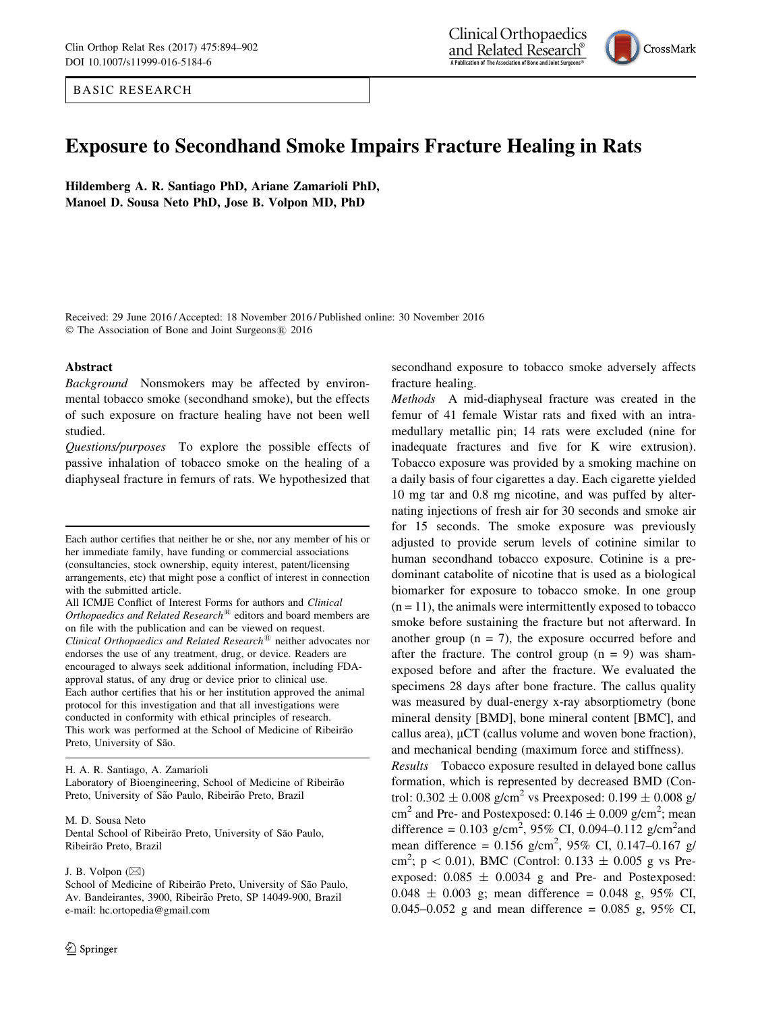BASIC RESEARCH





# Exposure to Secondhand Smoke Impairs Fracture Healing in Rats

Hildemberg A. R. Santiago PhD, Ariane Zamarioli PhD, Manoel D. Sousa Neto PhD, Jose B. Volpon MD, PhD

Received: 29 June 2016 / Accepted: 18 November 2016 / Published online: 30 November 2016 © The Association of Bone and Joint Surgeons® 2016

#### Abstract

Background Nonsmokers may be affected by environmental tobacco smoke (secondhand smoke), but the effects of such exposure on fracture healing have not been well studied.

Questions/purposes To explore the possible effects of passive inhalation of tobacco smoke on the healing of a diaphyseal fracture in femurs of rats. We hypothesized that

H. A. R. Santiago, A. Zamarioli

Laboratory of Bioengineering, School of Medicine of Ribeirão Preto, University of São Paulo, Ribeirão Preto, Brazil

M. D. Sousa Neto

Dental School of Ribeirão Preto, University of São Paulo, Ribeirão Preto, Brazil

### J. B. Volpon  $(\boxtimes)$

School of Medicine of Ribeirão Preto, University of São Paulo, Av. Bandeirantes, 3900, Ribeirão Preto, SP 14049-900, Brazil e-mail: hc.ortopedia@gmail.com

secondhand exposure to tobacco smoke adversely affects fracture healing.

Methods A mid-diaphyseal fracture was created in the femur of 41 female Wistar rats and fixed with an intramedullary metallic pin; 14 rats were excluded (nine for inadequate fractures and five for K wire extrusion). Tobacco exposure was provided by a smoking machine on a daily basis of four cigarettes a day. Each cigarette yielded 10 mg tar and 0.8 mg nicotine, and was puffed by alternating injections of fresh air for 30 seconds and smoke air for 15 seconds. The smoke exposure was previously adjusted to provide serum levels of cotinine similar to human secondhand tobacco exposure. Cotinine is a predominant catabolite of nicotine that is used as a biological biomarker for exposure to tobacco smoke. In one group  $(n = 11)$ , the animals were intermittently exposed to tobacco smoke before sustaining the fracture but not afterward. In another group  $(n = 7)$ , the exposure occurred before and after the fracture. The control group  $(n = 9)$  was shamexposed before and after the fracture. We evaluated the specimens 28 days after bone fracture. The callus quality was measured by dual-energy x-ray absorptiometry (bone mineral density [BMD], bone mineral content [BMC], and callus area),  $\mu$ CT (callus volume and woven bone fraction), and mechanical bending (maximum force and stiffness).

Results Tobacco exposure resulted in delayed bone callus formation, which is represented by decreased BMD (Control:  $0.302 \pm 0.008$  g/cm<sup>2</sup> vs Preexposed:  $0.199 \pm 0.008$  g/ cm<sup>2</sup> and Pre- and Postexposed:  $0.146 \pm 0.009$  g/cm<sup>2</sup>; mean difference =  $0.103$  g/cm<sup>2</sup>, 95% CI, 0.094–0.112 g/cm<sup>2</sup>and mean difference =  $0.156$  g/cm<sup>2</sup>, 95% CI, 0.147-0.167 g/ cm<sup>2</sup>; p < 0.01), BMC (Control: 0.133  $\pm$  0.005 g vs Preexposed:  $0.085 \pm 0.0034$  g and Pre- and Postexposed:  $0.048 \pm 0.003$  g; mean difference = 0.048 g, 95% CI, 0.045–0.052 g and mean difference = 0.085 g, 95% CI,

Each author certifies that neither he or she, nor any member of his or her immediate family, have funding or commercial associations (consultancies, stock ownership, equity interest, patent/licensing arrangements, etc) that might pose a conflict of interest in connection with the submitted article.

All ICMJE Conflict of Interest Forms for authors and Clinical Orthopaedics and Related Research<sup>®</sup> editors and board members are on file with the publication and can be viewed on request. Clinical Orthopaedics and Related Research<sup>®</sup> neither advocates nor endorses the use of any treatment, drug, or device. Readers are encouraged to always seek additional information, including FDAapproval status, of any drug or device prior to clinical use. Each author certifies that his or her institution approved the animal protocol for this investigation and that all investigations were conducted in conformity with ethical principles of research. This work was performed at the School of Medicine of Ribeirão Preto, University of São.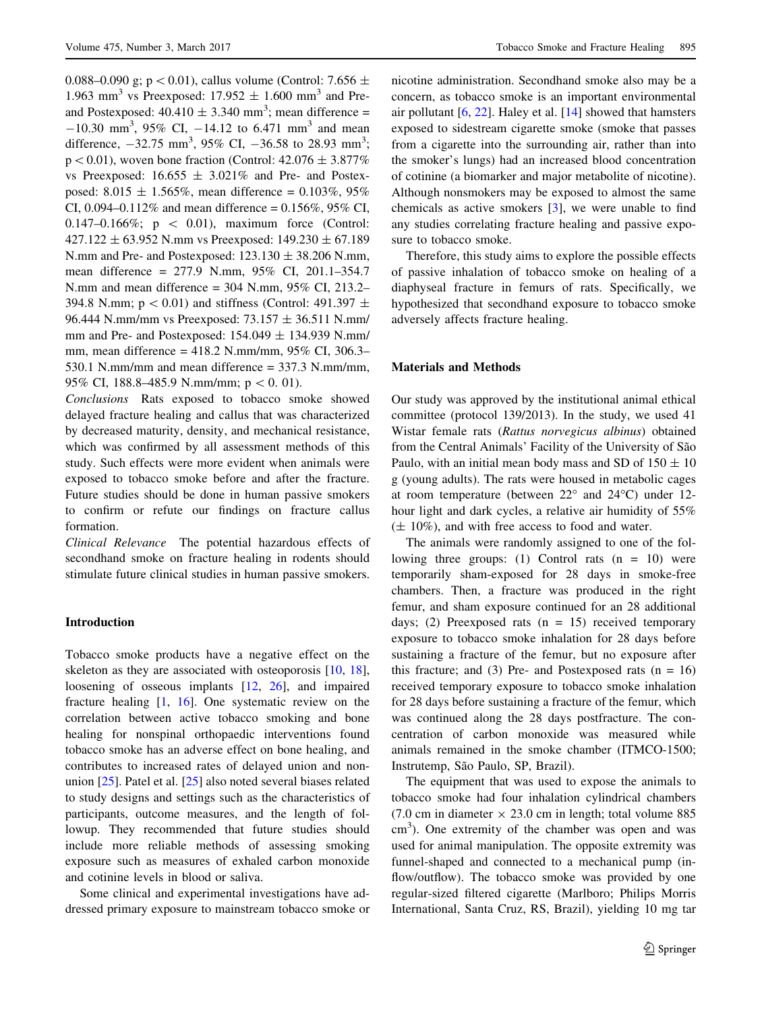0.088–0.090 g;  $p < 0.01$ ), callus volume (Control: 7.656  $\pm$ 1.963 mm<sup>3</sup> vs Preexposed:  $17.952 \pm 1.600$  mm<sup>3</sup> and Preand Postexposed:  $40.410 \pm 3.340$  mm<sup>3</sup>; mean difference =  $-10.30$  mm<sup>3</sup>, 95% CI,  $-14.12$  to 6.471 mm<sup>3</sup> and mean difference,  $-32.75$  mm<sup>3</sup>, 95% CI,  $-36.58$  to 28.93 mm<sup>3</sup>;  $p < 0.01$ ), woven bone fraction (Control:  $42.076 \pm 3.877\%$ ) vs Preexposed:  $16.655 \pm 3.021\%$  and Pre- and Postexposed:  $8.015 \pm 1.565\%$ , mean difference = 0.103%, 95% CI, 0.094–0.112% and mean difference =  $0.156\%$ , 95% CI, 0.147–0.166%;  $p \, < \, 0.01$ ), maximum force (Control:  $427.122 \pm 63.952$  N.mm vs Preexposed:  $149.230 \pm 67.189$ N.mm and Pre- and Postexposed:  $123.130 \pm 38.206$  N.mm, mean difference = 277.9 N.mm, 95% CI, 201.1–354.7 N.mm and mean difference = 304 N.mm, 95% CI, 213.2– 394.8 N.mm;  $p < 0.01$ ) and stiffness (Control: 491.397  $\pm$ 96.444 N.mm/mm vs Preexposed: 73.157 ± 36.511 N.mm/ mm and Pre- and Postexposed:  $154.049 \pm 134.939$  N.mm/ mm, mean difference = 418.2 N.mm/mm, 95% CI, 306.3– 530.1 N.mm/mm and mean difference = 337.3 N.mm/mm, 95% CI, 188.8–485.9 N.mm/mm;  $p < 0.01$ ).

Conclusions Rats exposed to tobacco smoke showed delayed fracture healing and callus that was characterized by decreased maturity, density, and mechanical resistance, which was confirmed by all assessment methods of this study. Such effects were more evident when animals were exposed to tobacco smoke before and after the fracture. Future studies should be done in human passive smokers to confirm or refute our findings on fracture callus formation.

Clinical Relevance The potential hazardous effects of secondhand smoke on fracture healing in rodents should stimulate future clinical studies in human passive smokers.

# Introduction

Tobacco smoke products have a negative effect on the skeleton as they are associated with osteoporosis  $[10, 18]$  $[10, 18]$  $[10, 18]$  $[10, 18]$  $[10, 18]$ , loosening of osseous implants [[12,](#page-7-0) [26\]](#page-7-0), and impaired fracture healing [[1,](#page-7-0) [16](#page-7-0)]. One systematic review on the correlation between active tobacco smoking and bone healing for nonspinal orthopaedic interventions found tobacco smoke has an adverse effect on bone healing, and contributes to increased rates of delayed union and nonunion [[25\]](#page-7-0). Patel et al. [\[25](#page-7-0)] also noted several biases related to study designs and settings such as the characteristics of participants, outcome measures, and the length of followup. They recommended that future studies should include more reliable methods of assessing smoking exposure such as measures of exhaled carbon monoxide and cotinine levels in blood or saliva.

Some clinical and experimental investigations have addressed primary exposure to mainstream tobacco smoke or nicotine administration. Secondhand smoke also may be a concern, as tobacco smoke is an important environmental air pollutant  $[6, 22]$  $[6, 22]$  $[6, 22]$  $[6, 22]$ . Haley et al.  $[14]$  $[14]$  showed that hamsters exposed to sidestream cigarette smoke (smoke that passes from a cigarette into the surrounding air, rather than into the smoker's lungs) had an increased blood concentration of cotinine (a biomarker and major metabolite of nicotine). Although nonsmokers may be exposed to almost the same chemicals as active smokers [[3\]](#page-7-0), we were unable to find any studies correlating fracture healing and passive exposure to tobacco smoke.

Therefore, this study aims to explore the possible effects of passive inhalation of tobacco smoke on healing of a diaphyseal fracture in femurs of rats. Specifically, we hypothesized that secondhand exposure to tobacco smoke adversely affects fracture healing.

#### Materials and Methods

Our study was approved by the institutional animal ethical committee (protocol 139/2013). In the study, we used 41 Wistar female rats (Rattus norvegicus albinus) obtained from the Central Animals' Facility of the University of São Paulo, with an initial mean body mass and SD of  $150 \pm 10$ g (young adults). The rats were housed in metabolic cages at room temperature (between  $22^{\circ}$  and  $24^{\circ}$ C) under 12hour light and dark cycles, a relative air humidity of 55%  $(\pm 10\%)$ , and with free access to food and water.

The animals were randomly assigned to one of the following three groups: (1) Control rats  $(n = 10)$  were temporarily sham-exposed for 28 days in smoke-free chambers. Then, a fracture was produced in the right femur, and sham exposure continued for an 28 additional days; (2) Preexposed rats  $(n = 15)$  received temporary exposure to tobacco smoke inhalation for 28 days before sustaining a fracture of the femur, but no exposure after this fracture; and (3) Pre- and Postexposed rats  $(n = 16)$ received temporary exposure to tobacco smoke inhalation for 28 days before sustaining a fracture of the femur, which was continued along the 28 days postfracture. The concentration of carbon monoxide was measured while animals remained in the smoke chamber (ITMCO-1500; Instrutemp, São Paulo, SP, Brazil).

The equipment that was used to expose the animals to tobacco smoke had four inhalation cylindrical chambers (7.0 cm in diameter  $\times$  23.0 cm in length; total volume 885 cm<sup>3</sup>). One extremity of the chamber was open and was used for animal manipulation. The opposite extremity was funnel-shaped and connected to a mechanical pump (inflow/outflow). The tobacco smoke was provided by one regular-sized filtered cigarette (Marlboro; Philips Morris International, Santa Cruz, RS, Brazil), yielding 10 mg tar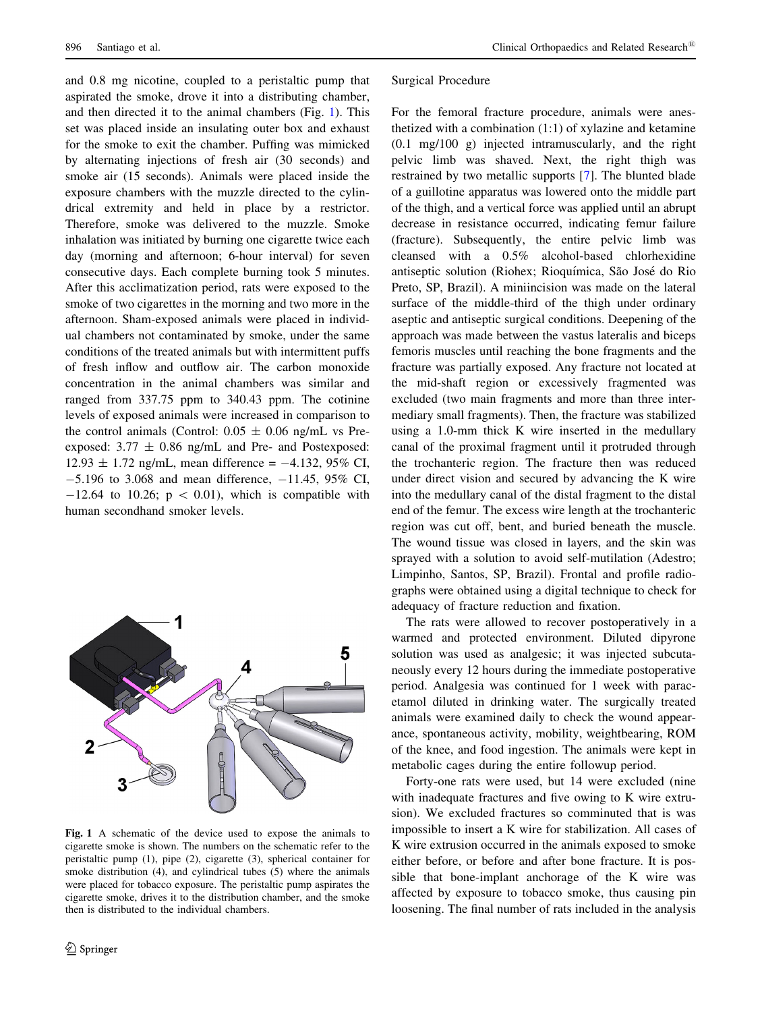and 0.8 mg nicotine, coupled to a peristaltic pump that aspirated the smoke, drove it into a distributing chamber, and then directed it to the animal chambers (Fig. 1). This set was placed inside an insulating outer box and exhaust for the smoke to exit the chamber. Puffing was mimicked by alternating injections of fresh air (30 seconds) and smoke air (15 seconds). Animals were placed inside the exposure chambers with the muzzle directed to the cylindrical extremity and held in place by a restrictor. Therefore, smoke was delivered to the muzzle. Smoke inhalation was initiated by burning one cigarette twice each day (morning and afternoon; 6-hour interval) for seven consecutive days. Each complete burning took 5 minutes. After this acclimatization period, rats were exposed to the smoke of two cigarettes in the morning and two more in the afternoon. Sham-exposed animals were placed in individual chambers not contaminated by smoke, under the same conditions of the treated animals but with intermittent puffs of fresh inflow and outflow air. The carbon monoxide concentration in the animal chambers was similar and ranged from 337.75 ppm to 340.43 ppm. The cotinine levels of exposed animals were increased in comparison to the control animals (Control:  $0.05 \pm 0.06$  ng/mL vs Preexposed:  $3.77 \pm 0.86$  ng/mL and Pre- and Postexposed:  $12.93 \pm 1.72$  ng/mL, mean difference = -4.132, 95% CI,  $-5.196$  to 3.068 and mean difference,  $-11.45$ , 95% CI,  $-12.64$  to 10.26;  $p < 0.01$ ), which is compatible with human secondhand smoker levels.



Fig. 1 A schematic of the device used to expose the animals to cigarette smoke is shown. The numbers on the schematic refer to the peristaltic pump (1), pipe (2), cigarette (3), spherical container for smoke distribution (4), and cylindrical tubes (5) where the animals were placed for tobacco exposure. The peristaltic pump aspirates the cigarette smoke, drives it to the distribution chamber, and the smoke then is distributed to the individual chambers.

#### Surgical Procedure

For the femoral fracture procedure, animals were anesthetized with a combination (1:1) of xylazine and ketamine (0.1 mg/100 g) injected intramuscularly, and the right pelvic limb was shaved. Next, the right thigh was restrained by two metallic supports [\[7](#page-7-0)]. The blunted blade of a guillotine apparatus was lowered onto the middle part of the thigh, and a vertical force was applied until an abrupt decrease in resistance occurred, indicating femur failure (fracture). Subsequently, the entire pelvic limb was cleansed with a 0.5% alcohol-based chlorhexidine antiseptic solution (Riohex; Rioquímica, São José do Rio Preto, SP, Brazil). A miniincision was made on the lateral surface of the middle-third of the thigh under ordinary aseptic and antiseptic surgical conditions. Deepening of the approach was made between the vastus lateralis and biceps femoris muscles until reaching the bone fragments and the fracture was partially exposed. Any fracture not located at the mid-shaft region or excessively fragmented was excluded (two main fragments and more than three intermediary small fragments). Then, the fracture was stabilized using a 1.0-mm thick K wire inserted in the medullary canal of the proximal fragment until it protruded through the trochanteric region. The fracture then was reduced under direct vision and secured by advancing the K wire into the medullary canal of the distal fragment to the distal end of the femur. The excess wire length at the trochanteric region was cut off, bent, and buried beneath the muscle. The wound tissue was closed in layers, and the skin was sprayed with a solution to avoid self-mutilation (Adestro; Limpinho, Santos, SP, Brazil). Frontal and profile radiographs were obtained using a digital technique to check for adequacy of fracture reduction and fixation.

The rats were allowed to recover postoperatively in a warmed and protected environment. Diluted dipyrone solution was used as analgesic; it was injected subcutaneously every 12 hours during the immediate postoperative period. Analgesia was continued for 1 week with paracetamol diluted in drinking water. The surgically treated animals were examined daily to check the wound appearance, spontaneous activity, mobility, weightbearing, ROM of the knee, and food ingestion. The animals were kept in metabolic cages during the entire followup period.

Forty-one rats were used, but 14 were excluded (nine with inadequate fractures and five owing to K wire extrusion). We excluded fractures so comminuted that is was impossible to insert a K wire for stabilization. All cases of K wire extrusion occurred in the animals exposed to smoke either before, or before and after bone fracture. It is possible that bone-implant anchorage of the K wire was affected by exposure to tobacco smoke, thus causing pin loosening. The final number of rats included in the analysis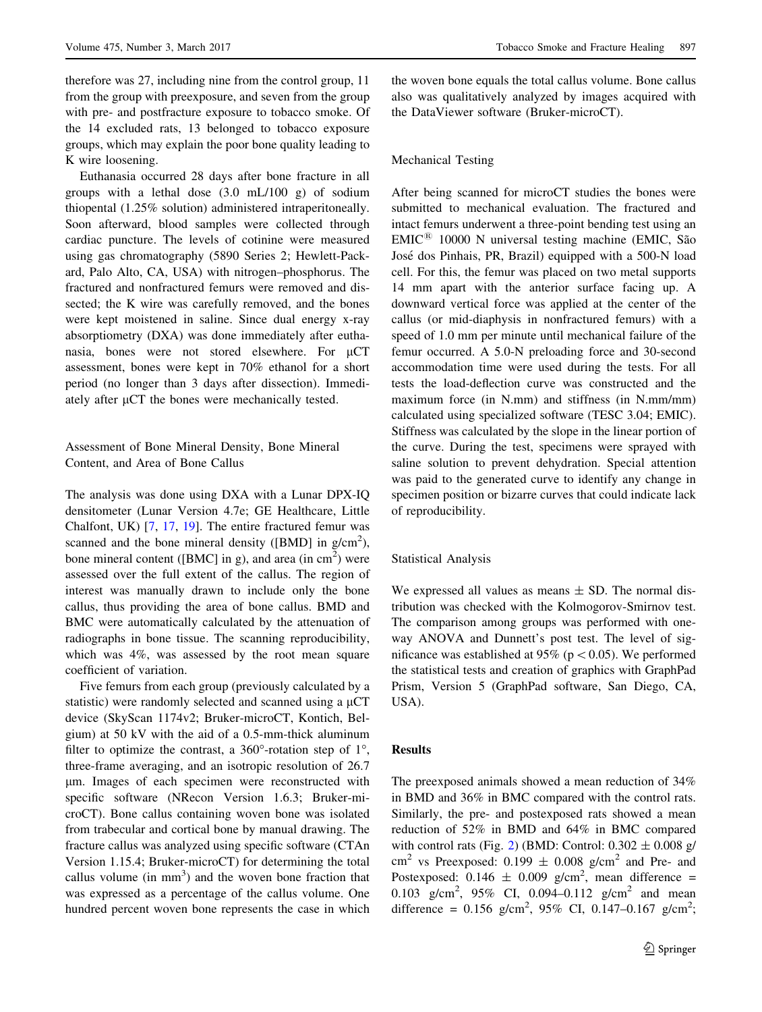therefore was 27, including nine from the control group, 11 from the group with preexposure, and seven from the group with pre- and postfracture exposure to tobacco smoke. Of the 14 excluded rats, 13 belonged to tobacco exposure groups, which may explain the poor bone quality leading to K wire loosening.

Euthanasia occurred 28 days after bone fracture in all groups with a lethal dose (3.0 mL/100 g) of sodium thiopental (1.25% solution) administered intraperitoneally. Soon afterward, blood samples were collected through cardiac puncture. The levels of cotinine were measured using gas chromatography (5890 Series 2; Hewlett-Packard, Palo Alto, CA, USA) with nitrogen–phosphorus. The fractured and nonfractured femurs were removed and dissected; the K wire was carefully removed, and the bones were kept moistened in saline. Since dual energy x-ray absorptiometry (DXA) was done immediately after euthanasia, bones were not stored elsewhere. For  $\mu$ CT assessment, bones were kept in 70% ethanol for a short period (no longer than 3 days after dissection). Immediately after  $\mu$ CT the bones were mechanically tested.

# Assessment of Bone Mineral Density, Bone Mineral Content, and Area of Bone Callus

The analysis was done using DXA with a Lunar DPX-IQ densitometer (Lunar Version 4.7e; GE Healthcare, Little Chalfont, UK) [\[7](#page-7-0), [17,](#page-7-0) [19\]](#page-7-0). The entire fractured femur was scanned and the bone mineral density ([BMD] in  $g/cm<sup>2</sup>$ ), bone mineral content ([BMC] in g), and area (in  $\text{cm}^2$ ) were assessed over the full extent of the callus. The region of interest was manually drawn to include only the bone callus, thus providing the area of bone callus. BMD and BMC were automatically calculated by the attenuation of radiographs in bone tissue. The scanning reproducibility, which was 4%, was assessed by the root mean square coefficient of variation.

Five femurs from each group (previously calculated by a statistic) were randomly selected and scanned using a  $\mu$ CT device (SkyScan 1174v2; Bruker-microCT, Kontich, Belgium) at 50 kV with the aid of a 0.5-mm-thick aluminum filter to optimize the contrast, a 360 $^{\circ}$ -rotation step of 1 $^{\circ}$ , three-frame averaging, and an isotropic resolution of 26.7 lm. Images of each specimen were reconstructed with specific software (NRecon Version 1.6.3; Bruker-microCT). Bone callus containing woven bone was isolated from trabecular and cortical bone by manual drawing. The fracture callus was analyzed using specific software (CTAn Version 1.15.4; Bruker-microCT) for determining the total callus volume (in  $mm<sup>3</sup>$ ) and the woven bone fraction that was expressed as a percentage of the callus volume. One hundred percent woven bone represents the case in which

the woven bone equals the total callus volume. Bone callus also was qualitatively analyzed by images acquired with the DataViewer software (Bruker-microCT).

### Mechanical Testing

After being scanned for microCT studies the bones were submitted to mechanical evaluation. The fractured and intact femurs underwent a three-point bending test using an  $EMIC^{\&}$  10000 N universal testing machine (EMIC, São Jose´ dos Pinhais, PR, Brazil) equipped with a 500-N load cell. For this, the femur was placed on two metal supports 14 mm apart with the anterior surface facing up. A downward vertical force was applied at the center of the callus (or mid-diaphysis in nonfractured femurs) with a speed of 1.0 mm per minute until mechanical failure of the femur occurred. A 5.0-N preloading force and 30-second accommodation time were used during the tests. For all tests the load-deflection curve was constructed and the maximum force (in N.mm) and stiffness (in N.mm/mm) calculated using specialized software (TESC 3.04; EMIC). Stiffness was calculated by the slope in the linear portion of the curve. During the test, specimens were sprayed with saline solution to prevent dehydration. Special attention was paid to the generated curve to identify any change in specimen position or bizarre curves that could indicate lack of reproducibility.

### Statistical Analysis

We expressed all values as means  $\pm$  SD. The normal distribution was checked with the Kolmogorov-Smirnov test. The comparison among groups was performed with oneway ANOVA and Dunnett's post test. The level of significance was established at 95% ( $p < 0.05$ ). We performed the statistical tests and creation of graphics with GraphPad Prism, Version 5 (GraphPad software, San Diego, CA, USA).

## Results

The preexposed animals showed a mean reduction of 34% in BMD and 36% in BMC compared with the control rats. Similarly, the pre- and postexposed rats showed a mean reduction of 52% in BMD and 64% in BMC compared with control rats (Fig. [2](#page-4-0)) (BMD: Control:  $0.302 \pm 0.008$  g/ cm<sup>2</sup> vs Preexposed:  $0.199 \pm 0.008$  g/cm<sup>2</sup> and Pre- and Postexposed:  $0.146 \pm 0.009$  g/cm<sup>2</sup>, mean difference = 0.103  $g/cm^2$ , 95% CI, 0.094–0.112  $g/cm^2$  and mean difference =  $0.156$  g/cm<sup>2</sup>, 95% CI, 0.147-0.167 g/cm<sup>2</sup>;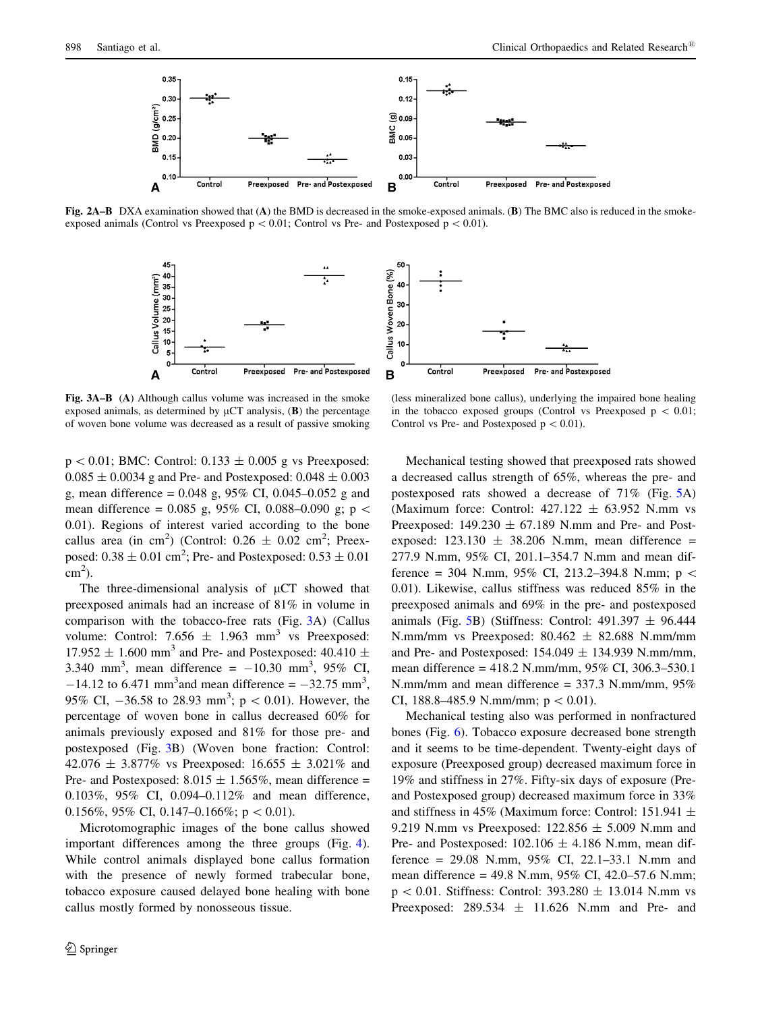<span id="page-4-0"></span>

Fig. 2A–B DXA examination showed that (A) the BMD is decreased in the smoke-exposed animals. (B) The BMC also is reduced in the smokeexposed animals (Control vs Preexposed  $p < 0.01$ ; Control vs Pre- and Postexposed  $p < 0.01$ ).



Fig. 3A–B (A) Although callus volume was increased in the smoke exposed animals, as determined by  $\mu$ CT analysis, (B) the percentage of woven bone volume was decreased as a result of passive smoking

 $p < 0.01$ ; BMC: Control: 0.133  $\pm$  0.005 g vs Preexposed:  $0.085 \pm 0.0034$  g and Pre- and Postexposed:  $0.048 \pm 0.003$ g, mean difference =  $0.048$  g,  $95\%$  CI,  $0.045-0.052$  g and mean difference = 0.085 g, 95% CI, 0.088–0.090 g; p  $\lt$ 0.01). Regions of interest varied according to the bone callus area (in cm<sup>2</sup>) (Control:  $0.26 \pm 0.02$  cm<sup>2</sup>; Preexposed:  $0.38 \pm 0.01$  cm<sup>2</sup>; Pre- and Postexposed:  $0.53 \pm 0.01$  $\text{cm}^2$ ).

The three-dimensional analysis of  $\mu$ CT showed that preexposed animals had an increase of 81% in volume in comparison with the tobacco-free rats (Fig. 3A) (Callus volume: Control: 7.656  $\pm$  1.963 mm<sup>3</sup> vs Preexposed: 17.952  $\pm$  1.600 mm<sup>3</sup> and Pre- and Postexposed: 40.410  $\pm$ 3.340 mm<sup>3</sup>, mean difference =  $-10.30$  mm<sup>3</sup>, 95% CI,  $-14.12$  to 6.471 mm<sup>3</sup> and mean difference =  $-32.75$  mm<sup>3</sup>, 95% CI,  $-36.58$  to 28.93 mm<sup>3</sup>; p < 0.01). However, the percentage of woven bone in callus decreased 60% for animals previously exposed and 81% for those pre- and postexposed (Fig. 3B) (Woven bone fraction: Control: 42.076  $\pm$  3.877% vs Preexposed: 16.655  $\pm$  3.021% and Pre- and Postexposed:  $8.015 \pm 1.565\%$ , mean difference = 0.103%, 95% CI, 0.094–0.112% and mean difference, 0.156%, 95% CI, 0.147–0.166%;  $p < 0.01$ ).

Microtomographic images of the bone callus showed important differences among the three groups (Fig. [4](#page-5-0)). While control animals displayed bone callus formation with the presence of newly formed trabecular bone, tobacco exposure caused delayed bone healing with bone callus mostly formed by nonosseous tissue.

(less mineralized bone callus), underlying the impaired bone healing in the tobacco exposed groups (Control vs Preexposed  $p \, < 0.01$ ; Control vs Pre- and Postexposed  $p < 0.01$ .

Mechanical testing showed that preexposed rats showed a decreased callus strength of 65%, whereas the pre- and postexposed rats showed a decrease of 71% (Fig. [5A](#page-5-0)) (Maximum force: Control:  $427.122 \pm 63.952$  N.mm vs Preexposed:  $149.230 \pm 67.189$  N.mm and Pre- and Postexposed:  $123.130 \pm 38.206$  N.mm, mean difference = 277.9 N.mm, 95% CI, 201.1–354.7 N.mm and mean difference = 304 N.mm, 95% CI, 213.2–394.8 N.mm;  $p \le$ 0.01). Likewise, callus stiffness was reduced 85% in the preexposed animals and 69% in the pre- and postexposed animals (Fig. [5](#page-5-0)B) (Stiffness: Control:  $491.397 \pm 96.444$ N.mm/mm vs Preexposed:  $80.462 \pm 82.688$  N.mm/mm and Pre- and Postexposed:  $154.049 \pm 134.939$  N.mm/mm, mean difference = 418.2 N.mm/mm, 95% CI, 306.3–530.1 N.mm/mm and mean difference = 337.3 N.mm/mm, 95% CI, 188.8–485.9 N.mm/mm;  $p < 0.01$ ).

Mechanical testing also was performed in nonfractured bones (Fig. [6](#page-5-0)). Tobacco exposure decreased bone strength and it seems to be time-dependent. Twenty-eight days of exposure (Preexposed group) decreased maximum force in 19% and stiffness in 27%. Fifty-six days of exposure (Preand Postexposed group) decreased maximum force in 33% and stiffness in 45% (Maximum force: Control: 151.941  $\pm$ 9.219 N.mm vs Preexposed:  $122.856 \pm 5.009$  N.mm and Pre- and Postexposed:  $102.106 \pm 4.186$  N.mm, mean difference = 29.08 N.mm, 95% CI, 22.1–33.1 N.mm and mean difference = 49.8 N.mm, 95% CI, 42.0–57.6 N.mm;  $p < 0.01$ . Stiffness: Control: 393.280  $\pm$  13.014 N.mm vs Preexposed:  $289.534 \pm 11.626$  N.mm and Pre- and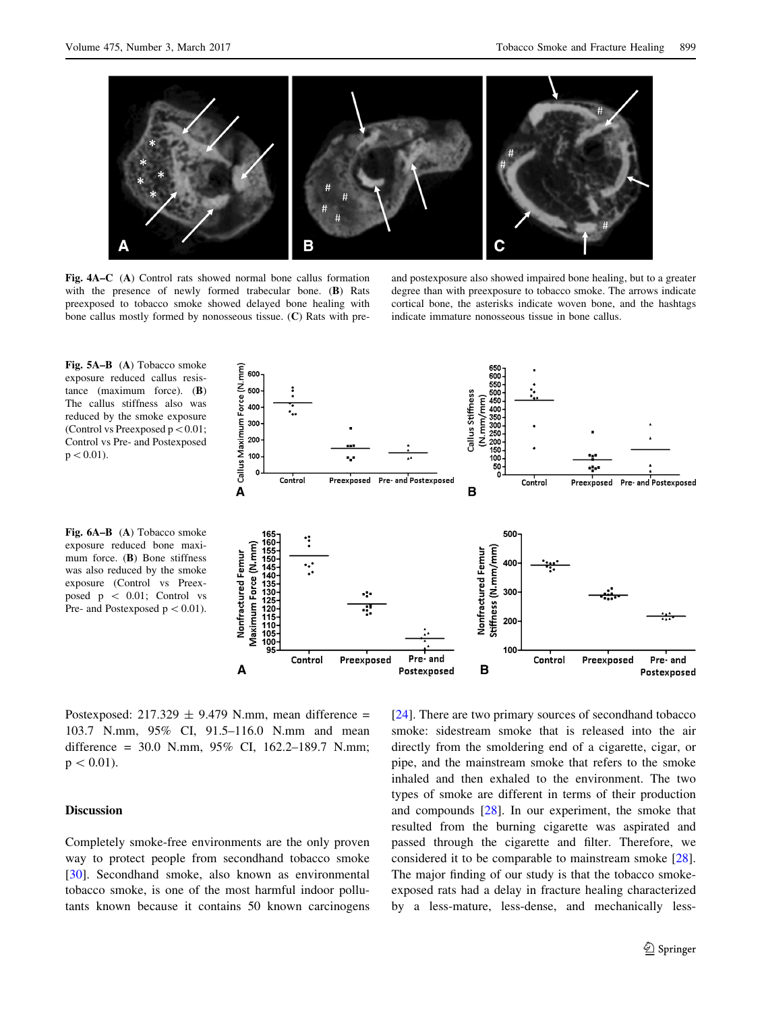<span id="page-5-0"></span>

Fig. 4A–C (A) Control rats showed normal bone callus formation with the presence of newly formed trabecular bone. (B) Rats preexposed to tobacco smoke showed delayed bone healing with bone callus mostly formed by nonosseous tissue. (C) Rats with pre-

and postexposure also showed impaired bone healing, but to a greater degree than with preexposure to tobacco smoke. The arrows indicate cortical bone, the asterisks indicate woven bone, and the hashtags indicate immature nonosseous tissue in bone callus.



Fig. 6A–B (A) Tobacco smoke exposure reduced bone maximum force. (B) Bone stiffness was also reduced by the smoke exposure (Control vs Preexposed  $p \, < 0.01$ ; Control vs Pre- and Postexposed  $p < 0.01$ ).



Postexposed:  $217.329 \pm 9.479$  N.mm, mean difference = 103.7 N.mm, 95% CI, 91.5–116.0 N.mm and mean difference = 30.0 N.mm, 95% CI, 162.2–189.7 N.mm;  $p < 0.01$ ).

# Discussion

Completely smoke-free environments are the only proven way to protect people from secondhand tobacco smoke [\[30](#page-7-0)]. Secondhand smoke, also known as environmental tobacco smoke, is one of the most harmful indoor pollutants known because it contains 50 known carcinogens [\[24](#page-7-0)]. There are two primary sources of secondhand tobacco smoke: sidestream smoke that is released into the air directly from the smoldering end of a cigarette, cigar, or pipe, and the mainstream smoke that refers to the smoke inhaled and then exhaled to the environment. The two types of smoke are different in terms of their production and compounds [[28\]](#page-7-0). In our experiment, the smoke that resulted from the burning cigarette was aspirated and passed through the cigarette and filter. Therefore, we considered it to be comparable to mainstream smoke [\[28](#page-7-0)]. The major finding of our study is that the tobacco smokeexposed rats had a delay in fracture healing characterized by a less-mature, less-dense, and mechanically less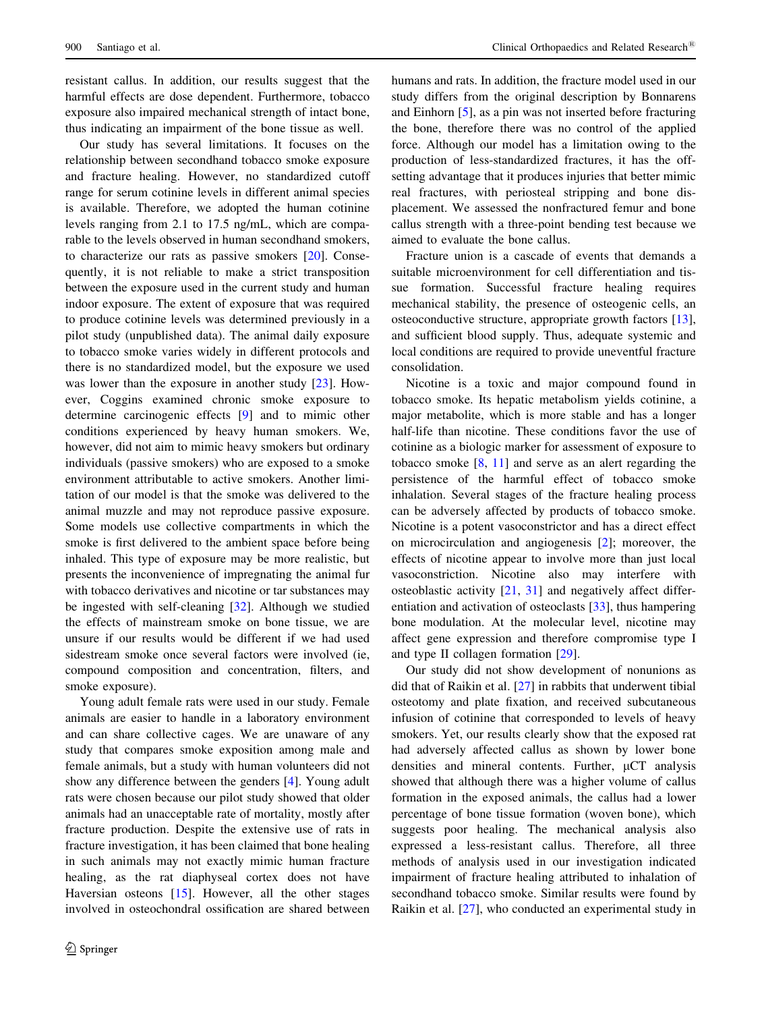resistant callus. In addition, our results suggest that the harmful effects are dose dependent. Furthermore, tobacco exposure also impaired mechanical strength of intact bone, thus indicating an impairment of the bone tissue as well.

Our study has several limitations. It focuses on the relationship between secondhand tobacco smoke exposure and fracture healing. However, no standardized cutoff range for serum cotinine levels in different animal species is available. Therefore, we adopted the human cotinine levels ranging from 2.1 to 17.5 ng/mL, which are comparable to the levels observed in human secondhand smokers, to characterize our rats as passive smokers [[20\]](#page-7-0). Consequently, it is not reliable to make a strict transposition between the exposure used in the current study and human indoor exposure. The extent of exposure that was required to produce cotinine levels was determined previously in a pilot study (unpublished data). The animal daily exposure to tobacco smoke varies widely in different protocols and there is no standardized model, but the exposure we used was lower than the exposure in another study [[23\]](#page-7-0). However, Coggins examined chronic smoke exposure to determine carcinogenic effects [[9\]](#page-7-0) and to mimic other conditions experienced by heavy human smokers. We, however, did not aim to mimic heavy smokers but ordinary individuals (passive smokers) who are exposed to a smoke environment attributable to active smokers. Another limitation of our model is that the smoke was delivered to the animal muzzle and may not reproduce passive exposure. Some models use collective compartments in which the smoke is first delivered to the ambient space before being inhaled. This type of exposure may be more realistic, but presents the inconvenience of impregnating the animal fur with tobacco derivatives and nicotine or tar substances may be ingested with self-cleaning [[32\]](#page-8-0). Although we studied the effects of mainstream smoke on bone tissue, we are unsure if our results would be different if we had used sidestream smoke once several factors were involved (ie, compound composition and concentration, filters, and smoke exposure).

Young adult female rats were used in our study. Female animals are easier to handle in a laboratory environment and can share collective cages. We are unaware of any study that compares smoke exposition among male and female animals, but a study with human volunteers did not show any difference between the genders [\[4](#page-7-0)]. Young adult rats were chosen because our pilot study showed that older animals had an unacceptable rate of mortality, mostly after fracture production. Despite the extensive use of rats in fracture investigation, it has been claimed that bone healing in such animals may not exactly mimic human fracture healing, as the rat diaphyseal cortex does not have Haversian osteons [[15\]](#page-7-0). However, all the other stages involved in osteochondral ossification are shared between humans and rats. In addition, the fracture model used in our study differs from the original description by Bonnarens and Einhorn [\[5](#page-7-0)], as a pin was not inserted before fracturing the bone, therefore there was no control of the applied force. Although our model has a limitation owing to the production of less-standardized fractures, it has the offsetting advantage that it produces injuries that better mimic real fractures, with periosteal stripping and bone displacement. We assessed the nonfractured femur and bone callus strength with a three-point bending test because we aimed to evaluate the bone callus.

Fracture union is a cascade of events that demands a suitable microenvironment for cell differentiation and tissue formation. Successful fracture healing requires mechanical stability, the presence of osteogenic cells, an osteoconductive structure, appropriate growth factors [\[13](#page-7-0)], and sufficient blood supply. Thus, adequate systemic and local conditions are required to provide uneventful fracture consolidation.

Nicotine is a toxic and major compound found in tobacco smoke. Its hepatic metabolism yields cotinine, a major metabolite, which is more stable and has a longer half-life than nicotine. These conditions favor the use of cotinine as a biologic marker for assessment of exposure to tobacco smoke [[8,](#page-7-0) [11\]](#page-7-0) and serve as an alert regarding the persistence of the harmful effect of tobacco smoke inhalation. Several stages of the fracture healing process can be adversely affected by products of tobacco smoke. Nicotine is a potent vasoconstrictor and has a direct effect on microcirculation and angiogenesis [[2\]](#page-7-0); moreover, the effects of nicotine appear to involve more than just local vasoconstriction. Nicotine also may interfere with osteoblastic activity [[21,](#page-7-0) [31\]](#page-8-0) and negatively affect differentiation and activation of osteoclasts [[33\]](#page-8-0), thus hampering bone modulation. At the molecular level, nicotine may affect gene expression and therefore compromise type I and type II collagen formation [[29\]](#page-7-0).

Our study did not show development of nonunions as did that of Raikin et al. [[27\]](#page-7-0) in rabbits that underwent tibial osteotomy and plate fixation, and received subcutaneous infusion of cotinine that corresponded to levels of heavy smokers. Yet, our results clearly show that the exposed rat had adversely affected callus as shown by lower bone densities and mineral contents. Further,  $\mu$ CT analysis showed that although there was a higher volume of callus formation in the exposed animals, the callus had a lower percentage of bone tissue formation (woven bone), which suggests poor healing. The mechanical analysis also expressed a less-resistant callus. Therefore, all three methods of analysis used in our investigation indicated impairment of fracture healing attributed to inhalation of secondhand tobacco smoke. Similar results were found by Raikin et al. [[27\]](#page-7-0), who conducted an experimental study in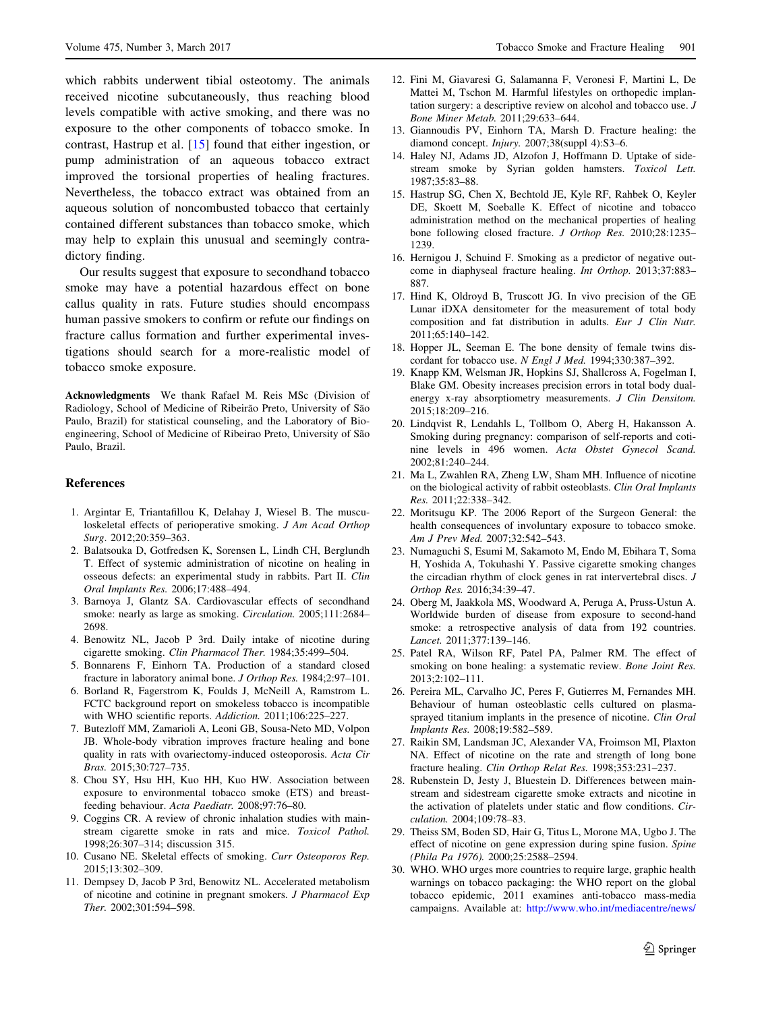<span id="page-7-0"></span>which rabbits underwent tibial osteotomy. The animals received nicotine subcutaneously, thus reaching blood levels compatible with active smoking, and there was no exposure to the other components of tobacco smoke. In contrast, Hastrup et al. [15] found that either ingestion, or pump administration of an aqueous tobacco extract improved the torsional properties of healing fractures. Nevertheless, the tobacco extract was obtained from an aqueous solution of noncombusted tobacco that certainly contained different substances than tobacco smoke, which may help to explain this unusual and seemingly contradictory finding.

Our results suggest that exposure to secondhand tobacco smoke may have a potential hazardous effect on bone callus quality in rats. Future studies should encompass human passive smokers to confirm or refute our findings on fracture callus formation and further experimental investigations should search for a more-realistic model of tobacco smoke exposure.

Acknowledgments We thank Rafael M. Reis MSc (Division of Radiology, School of Medicine of Ribeirão Preto, University of São Paulo, Brazil) for statistical counseling, and the Laboratory of Bioengineering, School of Medicine of Ribeirao Preto, University of São Paulo, Brazil.

### References

- 1. Argintar E, Triantafillou K, Delahay J, Wiesel B. The musculoskeletal effects of perioperative smoking. J Am Acad Orthop Surg. 2012;20:359–363.
- 2. Balatsouka D, Gotfredsen K, Sorensen L, Lindh CH, Berglundh T. Effect of systemic administration of nicotine on healing in osseous defects: an experimental study in rabbits. Part II. Clin Oral Implants Res. 2006;17:488–494.
- 3. Barnoya J, Glantz SA. Cardiovascular effects of secondhand smoke: nearly as large as smoking. Circulation. 2005;111:2684– 2698.
- 4. Benowitz NL, Jacob P 3rd. Daily intake of nicotine during cigarette smoking. Clin Pharmacol Ther. 1984;35:499–504.
- 5. Bonnarens F, Einhorn TA. Production of a standard closed fracture in laboratory animal bone. J Orthop Res. 1984;2:97–101.
- 6. Borland R, Fagerstrom K, Foulds J, McNeill A, Ramstrom L. FCTC background report on smokeless tobacco is incompatible with WHO scientific reports. Addiction. 2011;106:225–227.
- 7. Butezloff MM, Zamarioli A, Leoni GB, Sousa-Neto MD, Volpon JB. Whole-body vibration improves fracture healing and bone quality in rats with ovariectomy-induced osteoporosis. Acta Cir Bras. 2015;30:727–735.
- 8. Chou SY, Hsu HH, Kuo HH, Kuo HW. Association between exposure to environmental tobacco smoke (ETS) and breastfeeding behaviour. Acta Paediatr. 2008;97:76–80.
- 9. Coggins CR. A review of chronic inhalation studies with mainstream cigarette smoke in rats and mice. Toxicol Pathol. 1998;26:307–314; discussion 315.
- 10. Cusano NE. Skeletal effects of smoking. Curr Osteoporos Rep. 2015;13:302–309.
- 11. Dempsey D, Jacob P 3rd, Benowitz NL. Accelerated metabolism of nicotine and cotinine in pregnant smokers. J Pharmacol Exp Ther. 2002;301:594–598.
- 12. Fini M, Giavaresi G, Salamanna F, Veronesi F, Martini L, De Mattei M, Tschon M. Harmful lifestyles on orthopedic implantation surgery: a descriptive review on alcohol and tobacco use. J Bone Miner Metab. 2011;29:633–644.
- 13. Giannoudis PV, Einhorn TA, Marsh D. Fracture healing: the diamond concept. *Injury*. 2007;38(suppl 4):S3-6.
- 14. Haley NJ, Adams JD, Alzofon J, Hoffmann D. Uptake of sidestream smoke by Syrian golden hamsters. Toxicol Lett. 1987;35:83–88.
- 15. Hastrup SG, Chen X, Bechtold JE, Kyle RF, Rahbek O, Keyler DE, Skoett M, Soeballe K. Effect of nicotine and tobacco administration method on the mechanical properties of healing bone following closed fracture. J Orthop Res. 2010;28:1235– 1239.
- 16. Hernigou J, Schuind F. Smoking as a predictor of negative outcome in diaphyseal fracture healing. Int Orthop. 2013;37:883– 887.
- 17. Hind K, Oldroyd B, Truscott JG. In vivo precision of the GE Lunar iDXA densitometer for the measurement of total body composition and fat distribution in adults. Eur J Clin Nutr. 2011;65:140–142.
- 18. Hopper JL, Seeman E. The bone density of female twins discordant for tobacco use. N Engl J Med. 1994;330:387–392.
- 19. Knapp KM, Welsman JR, Hopkins SJ, Shallcross A, Fogelman I, Blake GM. Obesity increases precision errors in total body dualenergy x-ray absorptiometry measurements. J Clin Densitom. 2015;18:209–216.
- 20. Lindqvist R, Lendahls L, Tollbom O, Aberg H, Hakansson A. Smoking during pregnancy: comparison of self-reports and cotinine levels in 496 women. Acta Obstet Gynecol Scand. 2002;81:240–244.
- 21. Ma L, Zwahlen RA, Zheng LW, Sham MH. Influence of nicotine on the biological activity of rabbit osteoblasts. Clin Oral Implants Res. 2011;22:338–342.
- 22. Moritsugu KP. The 2006 Report of the Surgeon General: the health consequences of involuntary exposure to tobacco smoke. Am J Prev Med. 2007;32:542–543.
- 23. Numaguchi S, Esumi M, Sakamoto M, Endo M, Ebihara T, Soma H, Yoshida A, Tokuhashi Y. Passive cigarette smoking changes the circadian rhythm of clock genes in rat intervertebral discs. J Orthop Res. 2016;34:39–47.
- 24. Oberg M, Jaakkola MS, Woodward A, Peruga A, Pruss-Ustun A. Worldwide burden of disease from exposure to second-hand smoke: a retrospective analysis of data from 192 countries. Lancet. 2011;377:139–146.
- 25. Patel RA, Wilson RF, Patel PA, Palmer RM. The effect of smoking on bone healing: a systematic review. Bone Joint Res. 2013;2:102–111.
- 26. Pereira ML, Carvalho JC, Peres F, Gutierres M, Fernandes MH. Behaviour of human osteoblastic cells cultured on plasmasprayed titanium implants in the presence of nicotine. Clin Oral Implants Res. 2008;19:582–589.
- 27. Raikin SM, Landsman JC, Alexander VA, Froimson MI, Plaxton NA. Effect of nicotine on the rate and strength of long bone fracture healing. Clin Orthop Relat Res. 1998;353:231–237.
- 28. Rubenstein D, Jesty J, Bluestein D. Differences between mainstream and sidestream cigarette smoke extracts and nicotine in the activation of platelets under static and flow conditions. Circulation. 2004;109:78–83.
- 29. Theiss SM, Boden SD, Hair G, Titus L, Morone MA, Ugbo J. The effect of nicotine on gene expression during spine fusion. Spine (Phila Pa 1976). 2000;25:2588–2594.
- 30. WHO. WHO urges more countries to require large, graphic health warnings on tobacco packaging: the WHO report on the global tobacco epidemic, 2011 examines anti-tobacco mass-media campaigns. Available at: [http://www.who.int/mediacentre/news/](http://www.who.int/mediacentre/news/releases/2011/tobacco_20110707/en/)